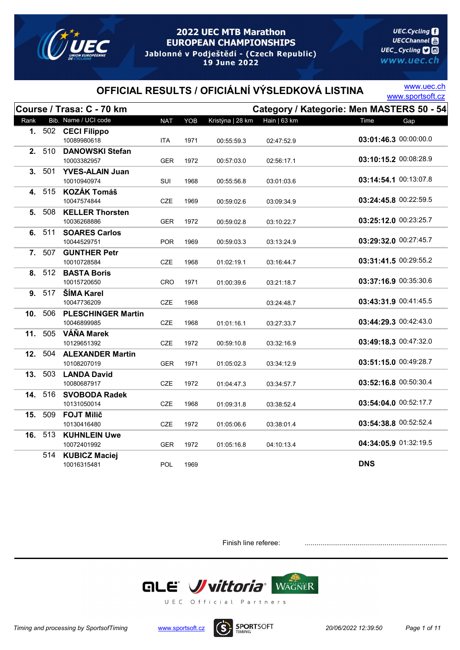

**UEC.Cycling UECChannel** 圖 UEC\_Cycling **D** www.uec.ch

# OFFICIAL RESULTS / OFICIÁLNÍ VÝSLEDKOVÁ LISTINA WWW.sportsoft.cz

www.uec.ch

|      |         | Course / Trasa: C - 70 km                |            |      |                  |              | Category / Kategorie: Men MASTERS 50 - 54 |
|------|---------|------------------------------------------|------------|------|------------------|--------------|-------------------------------------------|
| Rank |         | Bib. Name / UCI code                     | <b>NAT</b> | YOB  | Kristýna   28 km | Hain   63 km | Time<br>Gap                               |
|      | 1. 502  | <b>CECI Filippo</b><br>10089980618       | <b>ITA</b> | 1971 | 00:55:59.3       | 02:47:52.9   | 03:01:46.3 00:00:00.0                     |
|      | 2. 510  | <b>DANOWSKI Stefan</b><br>10003382957    | <b>GER</b> | 1972 | 00:57:03.0       | 02:56:17.1   | 03:10:15.2 00:08:28.9                     |
|      | 3. 501  | <b>YVES-ALAIN Juan</b><br>10010940974    | SUI        | 1968 | 00:55:56.8       | 03:01:03.6   | 03:14:54.1 00:13:07.8                     |
| 4.   | 515     | <b>KOZÁK Tomáš</b><br>10047574844        | <b>CZE</b> | 1969 | 00:59:02.6       | 03:09:34.9   | 03:24:45.8 00:22:59.5                     |
| 5.   | 508     | <b>KELLER Thorsten</b><br>10036268886    | <b>GER</b> | 1972 | 00:59:02.8       | 03:10:22.7   | 03:25:12.0 00:23:25.7                     |
| 6.   | 511     | <b>SOARES Carlos</b><br>10044529751      | <b>POR</b> | 1969 | 00:59:03.3       | 03:13:24.9   | 03:29:32.0 00:27:45.7                     |
|      | 7. 507  | <b>GUNTHER Petr</b><br>10010728584       | <b>CZE</b> | 1968 | 01:02:19.1       | 03:16:44.7   | 03:31:41.5 00:29:55.2                     |
|      |         | 8. 512 BASTA Boris<br>10015720650        | <b>CRO</b> | 1971 | 01:00:39.6       | 03:21:18.7   | 03:37:16.9 00:35:30.6                     |
|      | 9. 517  | ŠÍMA Karel<br>10047736209                | <b>CZE</b> | 1968 |                  | 03:24:48.7   | 03:43:31.9 00:41:45.5                     |
| 10.  | 506     | <b>PLESCHINGER Martin</b><br>10046899985 | <b>CZE</b> | 1968 | 01:01:16.1       | 03:27:33.7   | 03:44:29.3 00:42:43.0                     |
|      | 11. 505 | VÁŇA Marek<br>10129651392                | CZE        | 1972 | 00:59:10.8       | 03:32:16.9   | 03:49:18.3 00:47:32.0                     |
|      | 12. 504 | <b>ALEXANDER Martin</b><br>10108207019   | <b>GER</b> | 1971 | 01:05:02.3       | 03:34:12.9   | 03:51:15.0 00:49:28.7                     |
|      | 13. 503 | <b>LANDA David</b><br>10080687917        | CZE        | 1972 | 01:04:47.3       | 03:34:57.7   | 03:52:16.8 00:50:30.4                     |
| 14.  | 516     | <b>SVOBODA Radek</b><br>10131050014      | <b>CZE</b> | 1968 | 01:09:31.8       | 03:38:52.4   | 03:54:04.0 00:52:17.7                     |
| 15.  | 509     | <b>FOJT Milič</b><br>10130416480         | <b>CZE</b> | 1972 | 01:05:06.6       | 03:38:01.4   | 03:54:38.8 00:52:52.4                     |
| 16.  | 513     | <b>KUHNLEIN Uwe</b><br>10072401992       | <b>GER</b> | 1972 | 01:05:16.8       | 04:10:13.4   | 04:34:05.9 01:32:19.5                     |
|      | 514     | <b>KUBICZ Maciej</b><br>10016315481      | <b>POL</b> | 1969 |                  |              | <b>DNS</b>                                |

Finish line referee: .......................................................................................



Timing and processing by SportsofTiming www.sportsoft.cz  $(S)$  SPORTSOFT 20/06/2022 12:39:50 Page 1 of 11

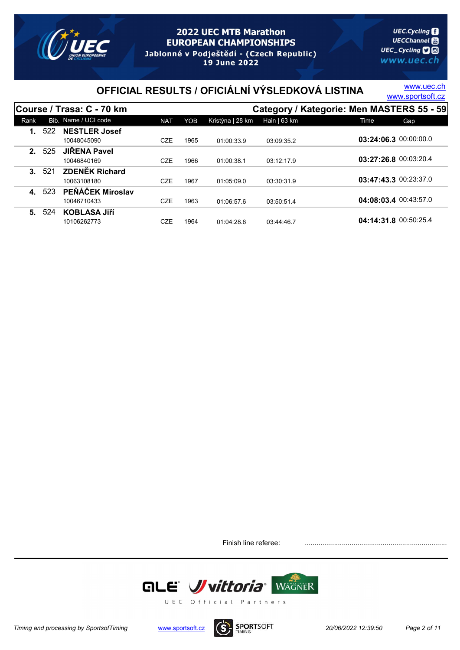

19 June 2022

# OFFICIAL RESULTS / OFICIÁLNÍ VÝSLEDKOVÁ LISTINA WWW.sportsoft.cz

www.uec.ch

|         |     | Course / Trasa: C - 70 km            |            |      |                  |              | Category / Kategorie: Men MASTERS 55 - 59 |
|---------|-----|--------------------------------------|------------|------|------------------|--------------|-------------------------------------------|
| Rank    |     | Bib. Name / UCI code                 | <b>NAT</b> | YOB  | Kristýna   28 km | Hain   63 km | Time<br>Gap                               |
|         | 522 | <b>NESTLER Josef</b><br>10048045090  | CZE        | 1965 | 01:00:33.9       | 03:09:35.2   | 03:24:06.3 00:00:00.0                     |
| 2.      | 525 | <b>JIRENA Pavel</b><br>10046840169   | <b>CZE</b> | 1966 | 01:00:38.1       | 03:12:17.9   | 03:27:26.8 00:03:20.4                     |
| $3_{-}$ | 521 | <b>ZDENĚK Richard</b><br>10063108180 | <b>CZE</b> | 1967 | 01:05:09.0       | 03:30:31.9   | 03:47:43.3 00:23:37.0                     |
| 4.      | 523 | PEŇÁČEK Miroslav<br>10046710433      | <b>CZE</b> | 1963 | 01:06:57.6       | 03:50:51.4   | 04:08:03.4 00:43:57.0                     |
| 5.      | 524 | <b>KOBLASA JIří</b><br>10106262773   | CZE        | 1964 | 01:04:28.6       | 03:44:46.7   | 04:14:31.8 00:50:25.4                     |

Finish line referee: .......................................................................................



Timing and processing by SportsofTiming www.sportsoft.cz  $(S)$  SPORTSOFT 20/06/2022 12:39:50 Page 2 of 11

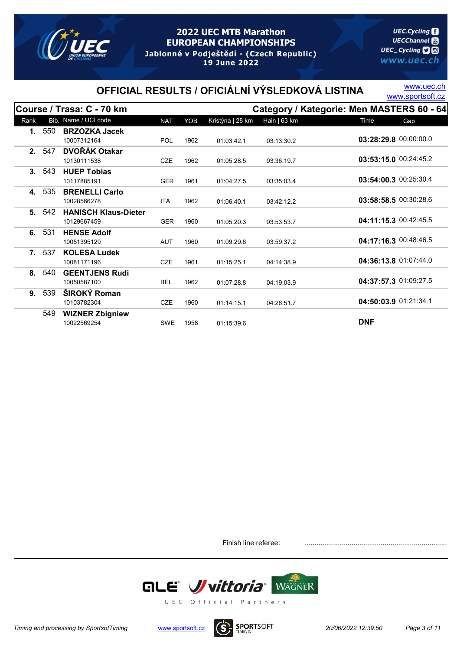

**UEC.Cycling UECChannel** 圖 UEC\_Cycling **D** www.uec.ch

# OFFICIAL RESULTS / OFICIÁLNÍ VÝSLEDKOVÁ LISTINA WWW.sportsoft.cz

www.uec.ch

|                |       | Course / Trasa: C - 70 km   |            |      |                  |               | Category / Kategorie: Men MASTERS 60 - 64 |
|----------------|-------|-----------------------------|------------|------|------------------|---------------|-------------------------------------------|
| Rank           |       | Bib. Name / UCI code        | <b>NAT</b> | YOB  | Kristýna   28 km | Hain $ 63$ km | Time<br><b>Gap</b>                        |
| 1.             | 550   | <b>BRZOZKA Jacek</b>        |            |      |                  |               |                                           |
|                |       | 10007312164                 | POL        | 1962 | 01:03:42.1       | 03:13:30.2    | 03:28:29.8 00:00:00.0                     |
| 2 <sup>1</sup> | 547   | <b>DVOŘÁK Otakar</b>        |            |      |                  |               |                                           |
|                |       | 10130111538                 | <b>CZE</b> | 1962 | 01:05:28.5       | 03:36:19.7    | 03:53:15.0 00:24:45.2                     |
|                | 3.543 | <b>HUEP Tobias</b>          |            |      |                  |               |                                           |
|                |       | 10117885191                 | <b>GER</b> | 1961 | 01:04:27.5       | 03:35:03.4    | 03:54:00.3 00:25:30.4                     |
| 4.             | 535   | <b>BRENELLI Carlo</b>       |            |      |                  |               |                                           |
|                |       | 10028566278                 | <b>ITA</b> | 1962 | 01:06:40.1       | 03:42:12.2    | 03:58:58.5 00:30:28.6                     |
| 5.             | 542   | <b>HANISCH Klaus-Dieter</b> |            |      |                  |               |                                           |
|                |       | 10129667459                 | <b>GER</b> | 1960 | 01:05:20.3       | 03:53:53.7    | 04:11:15.3 00:42:45.5                     |
| 6.             | 531   | <b>HENSE Adolf</b>          |            |      |                  |               |                                           |
|                |       | 10051395129                 | <b>AUT</b> | 1960 | 01:09:29.6       | 03:59:37.2    | 04:17:16.3 00:48:46.5                     |
| $7_{\cdot}$    | 537   | <b>KOLESA Ludek</b>         |            |      |                  |               |                                           |
|                |       | 10081171196                 | <b>CZE</b> | 1961 | 01:15:25.1       | 04:14:38.9    | 04:36:13.8 01:07:44.0                     |
| 8.             | 540   | <b>GEENTJENS Rudi</b>       |            |      |                  |               |                                           |
|                |       | 10050587100                 | <b>BEL</b> | 1962 | 01:07:28.8       | 04:19:03.9    | 04:37:57.3 01:09:27.5                     |
| 9.             | 539   | ŠIROKÝ Roman                |            |      |                  |               |                                           |
|                |       | 10103782304                 | <b>CZE</b> | 1960 | 01:14:15.1       | 04:26:51.7    | 04:50:03.9 01:21:34.1                     |
|                | 549   | <b>WIZNER Zbigniew</b>      |            |      |                  |               |                                           |
|                |       | 10022569254                 | <b>SWE</b> | 1958 | 01:15:39.6       |               | <b>DNF</b>                                |

Finish line referee: .......................................................................................



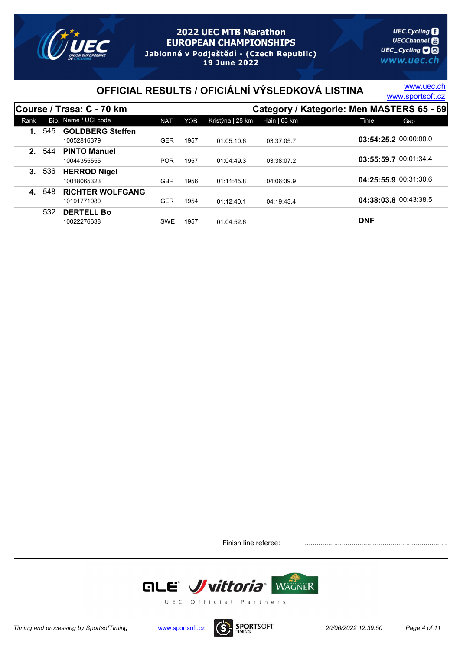

**UEC.Cycling UECChannel** 圖 UEC\_Cycling **D** www.uec.ch

# OFFICIAL RESULTS / OFICIÁLNÍ VÝSLEDKOVÁ LISTINA WWW.sportsoft.cz

www.uec.ch

|         |     | Course / Trasa: C - 70 km              |            |      |                  |              | Category / Kategorie: Men MASTERS 65 - 69 |
|---------|-----|----------------------------------------|------------|------|------------------|--------------|-------------------------------------------|
| Rank    |     | Bib. Name / UCI code                   | <b>NAT</b> | YOB  | Kristýna   28 km | Hain   63 km | Time<br>Gap                               |
|         | 545 | <b>GOLDBERG Steffen</b><br>10052816379 | <b>GER</b> | 1957 | 01:05:10.6       | 03:37:05.7   | 03:54:25.2 00:00:00.0                     |
| $2_{-}$ | 544 | <b>PINTO Manuel</b><br>10044355555     | <b>POR</b> | 1957 | 01:04:49.3       | 03:38:07.2   | 03:55:59.7 00:01:34.4                     |
| 3.      | 536 | <b>HERROD Nigel</b><br>10018065323     | GBR        | 1956 | 01:11:45.8       | 04:06:39.9   | 04:25:55.9 00:31:30.6                     |
| 4.      | 548 | <b>RICHTER WOLFGANG</b><br>10191771080 | <b>GER</b> | 1954 | 01:12:40.1       | 04:19:43.4   | 04:38:03.8 00:43:38.5                     |
|         | 532 | <b>DERTELL Bo</b><br>10022276638       | <b>SWE</b> | 1957 | 01:04:52.6       |              | <b>DNF</b>                                |

Finish line referee: .......................................................................................



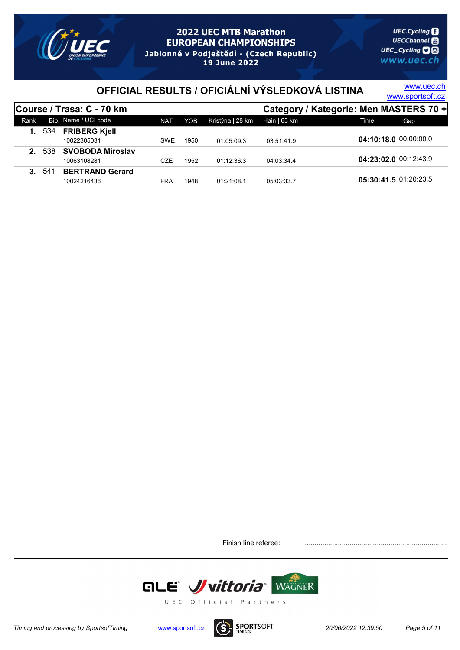

# OFFICIAL RESULTS / OFICIÁLNÍ VÝSLEDKOVÁ LISTINA WWW.sportsoft.cz

www.uec.ch

|      |               | Course / Trasa: C - 70 km |            |      |                  |              | Category / Kategorie: Men MASTERS 70 + |
|------|---------------|---------------------------|------------|------|------------------|--------------|----------------------------------------|
| Rank |               | Bib. Name / UCI code      | <b>NAT</b> | YOB  | Kristýna   28 km | Hain   63 km | Gap<br>Time                            |
|      | <b>1.</b> 534 | <b>FRIBERG Kjell</b>      |            |      |                  |              |                                        |
|      |               | 10022305031               | <b>SWE</b> | 1950 | 01:05:09.3       | 03:51:41.9   | 04:10:18.0 00:00:00.0                  |
|      | 2. 538        | <b>SVOBODA Miroslav</b>   |            |      |                  |              |                                        |
|      |               | 10063108281               | CZE        | 1952 | 01:12:36.3       | 04:03:34.4   | 04:23:02.0 00:12:43.9                  |
|      | 3.541         | <b>BERTRAND Gerard</b>    |            |      |                  |              |                                        |
|      |               | 10024216436               | FRA        | 1948 | 01:21:08.1       | 05:03:33.7   | 05:30:41.5 01:20:23.5                  |

Finish line referee:



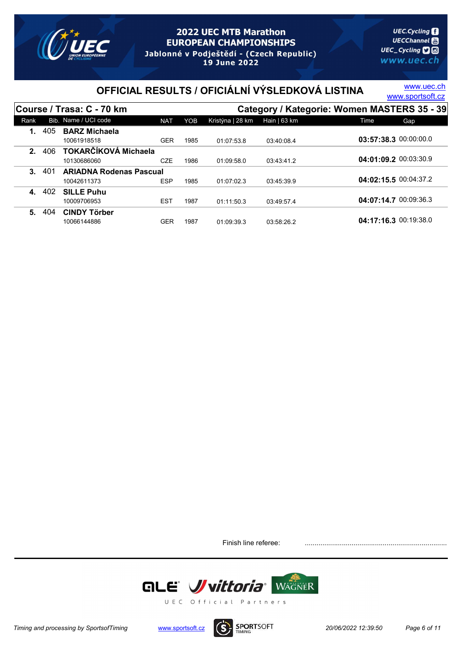

# OFFICIAL RESULTS / OFICIÁLNÍ VÝSLEDKOVÁ LISTINA WWW.sportsoft.cz

www.uec.ch

|         |      | Course / Trasa: C - 70 km                     |            |      | Category / Kategorie: Women MASTERS 35 - 39 |                |                       |     |  |  |
|---------|------|-----------------------------------------------|------------|------|---------------------------------------------|----------------|-----------------------|-----|--|--|
| Rank    |      | Bib. Name / UCI code                          | <b>NAT</b> | YOB  | Kristýna   28 km                            | Hain $  63$ km | Time                  | Gap |  |  |
|         | 405  | <b>BARZ Michaela</b><br>10061918518           | <b>GER</b> | 1985 | 01:07:53.8                                  | 03:40:08.4     | 03:57:38.3 00:00:00.0 |     |  |  |
| 2.      | 406  | TOKARČÍKOVÁ Michaela<br>10130686060           | <b>CZE</b> | 1986 | 01:09:58.0                                  | 03:43:41.2     | 04:01:09.2 00:03:30.9 |     |  |  |
| $3_{-}$ | -401 | <b>ARIADNA Rodenas Pascual</b><br>10042611373 | <b>ESP</b> | 1985 | 01:07:02.3                                  | 03:45:39.9     | 04:02:15.5 00:04:37.2 |     |  |  |
| 4.      | 402  | <b>SILLE Puhu</b><br>10009706953              | <b>EST</b> | 1987 | 01:11:50.3                                  | 03:49:57.4     | 04:07:14.7 00:09:36.3 |     |  |  |
| 5.      | 404  | <b>CINDY Törber</b><br>10066144886            | GER        | 1987 | 01:09:39.3                                  | 03:58:26.2     | 04:17:16.3 00:19:38.0 |     |  |  |

Finish line referee: .......................................................................................



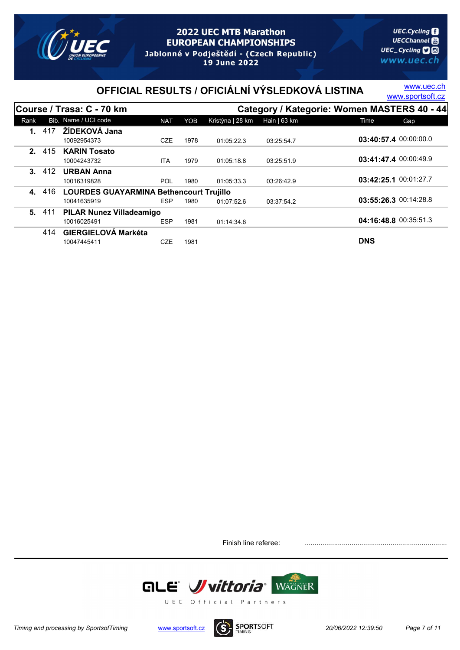

# OFFICIAL RESULTS / OFICIÁLNÍ VÝSLEDKOVÁ LISTINA WWW.sportsoft.cz

www.uec.ch

|         |       | Course / Trasa: C - 70 km                      |            |      |                  |                | Category / Kategorie: Women MASTERS 40 - 44 |
|---------|-------|------------------------------------------------|------------|------|------------------|----------------|---------------------------------------------|
| Rank    |       | Bib. Name / UCI code                           | <b>NAT</b> | YOB  | Kristýna   28 km | Hain $  63$ km | Gap<br>Time                                 |
| $1_{-}$ | 417   | ŽÍDEKOVÁ Jana                                  |            |      |                  |                |                                             |
|         |       | 10092954373                                    | <b>CZE</b> | 1978 | 01:05:22.3       | 03:25:54.7     | 03:40:57.4 00:00:00.0                       |
|         | 2.415 | <b>KARIN Tosato</b>                            |            |      |                  |                |                                             |
|         |       | 10004243732                                    | ITA        | 1979 | 01:05:18.8       | 03:25:51.9     | 03:41:47.4 00:00:49.9                       |
| $3_{-}$ | 412   | <b>URBAN Anna</b>                              |            |      |                  |                |                                             |
|         |       | 10016319828                                    | <b>POL</b> | 1980 | 01:05:33.3       | 03:26:42.9     | 03:42:25.1 00:01:27.7                       |
| 4.      | 416   | <b>LOURDES GUAYARMINA Bethencourt Trujillo</b> |            |      |                  |                |                                             |
|         |       | 10041635919                                    | <b>ESP</b> | 1980 | 01:07:52.6       | 03:37:54.2     | 03:55:26.3 00:14:28.8                       |
| 5.      | -411  | <b>PILAR Nunez Villadeamigo</b>                |            |      |                  |                |                                             |
|         |       | 10016025491                                    | <b>ESP</b> | 1981 | 01:14:34.6       |                | 04:16:48.8 00:35:51.3                       |
|         | 414   | <b>GIERGIELOVÁ Markéta</b>                     |            |      |                  |                |                                             |
|         |       | 10047445411                                    | <b>CZE</b> | 1981 |                  |                | <b>DNS</b>                                  |

Finish line referee: .......................................................................................



Timing and processing by SportsofTiming www.sportsoft.cz  $(S)$  SPORTSOFT 20/06/2022 12:39:50 Page 7 of 11

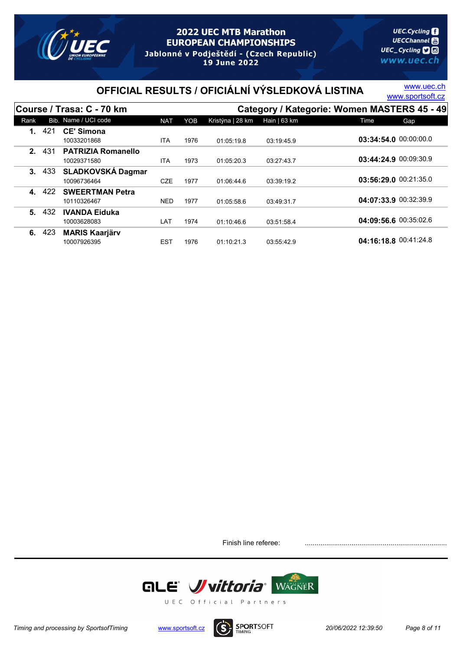

# OFFICIAL RESULTS / OFICIÁLNÍ VÝSLEDKOVÁ LISTINA WWW.sportsoft.cz

www.uec.ch

|      |     | Course / Trasa: C - 70 km |            |      |                  |               | Category / Kategorie: Women MASTERS 45 - 49 |
|------|-----|---------------------------|------------|------|------------------|---------------|---------------------------------------------|
| Rank |     | Bib. Name / UCI code      | <b>NAT</b> | YOB  | Kristýna   28 km | Hain $ 63$ km | Time<br>Gap                                 |
| 1.   | 421 | <b>CE' Simona</b>         |            |      |                  |               |                                             |
|      |     | 10033201868               | <b>ITA</b> | 1976 | 01:05:19.8       | 03:19:45.9    | 03:34:54.0 00:00:00.0                       |
| 2.   | 431 | <b>PATRIZIA Romanello</b> |            |      |                  |               |                                             |
|      |     | 10029371580               | <b>ITA</b> | 1973 | 01:05:20.3       | 03:27:43.7    | 03:44:24.9 00:09:30.9                       |
| 3.   | 433 | <b>SLADKOVSKÁ Dagmar</b>  |            |      |                  |               |                                             |
|      |     | 10096736464               | <b>CZE</b> | 1977 | 01:06:44.6       | 03:39:19.2    | 03:56:29.0 00:21:35.0                       |
| 4.   | 422 | <b>SWEERTMAN Petra</b>    |            |      |                  |               |                                             |
|      |     | 10110326467               | <b>NED</b> | 1977 | 01:05:58.6       | 03:49:31.7    | 04:07:33.9 00:32:39.9                       |
| 5.   | 432 | <b>IVANDA Eiduka</b>      |            |      |                  |               |                                             |
|      |     | 10003628083               | LAT        | 1974 | 01:10:46.6       | 03:51:58.4    | 04:09:56.6 00:35:02.6                       |
| 6.   | 423 | <b>MARIS Kaarjärv</b>     |            |      |                  |               |                                             |
|      |     | 10007926395               | <b>EST</b> | 1976 | 01:10:21.3       | 03:55:42.9    | 04:16:18.8 00:41:24.8                       |

Finish line referee: .......................................................................................



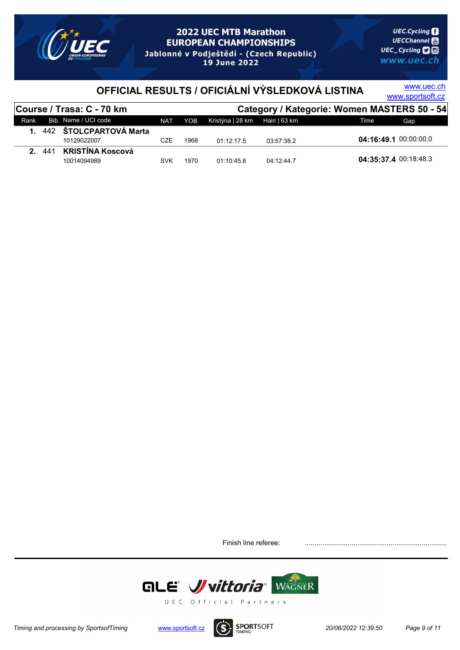

# OFFICIAL RESULTS / OFICIÁLNÍ VÝSLEDKOVÁ LISTINA WWW.sportsoft.cz

www.uec.ch

|      |        | Course / Trasa: C - 70 km |            |      | Category / Kategorie: Women MASTERS 50 - 54 |            |                       |  |  |
|------|--------|---------------------------|------------|------|---------------------------------------------|------------|-----------------------|--|--|
| Rank |        | Bib. Name / UCI code      | NAT        | YOB  | Kristýna   28 km Hain   63 km               |            | Time<br>Gap.          |  |  |
|      |        | 1. 442 ŠTOLCPARTOVÁ Marta |            |      |                                             |            |                       |  |  |
|      |        | 10129022007               | <b>CZE</b> | 1968 | 01.12.17.5                                  | 03:57:38.2 | 04:16:49.1 00:00:00.0 |  |  |
|      | 2. 441 | KRISTÍNA Koscová          |            |      |                                             |            |                       |  |  |
|      |        | 10014094989               | <b>SVK</b> | 1970 | 01.10.45.8                                  | 04:12:44.7 | 04:35:37.4 00:18:48.3 |  |  |

Finish line referee:



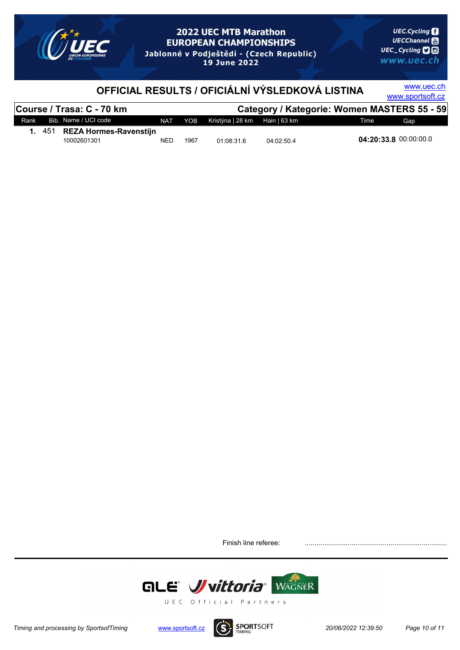

www.uec.ch

# OFFICIAL RESULTS / OFICIÁLNÍ VÝSLEDKOVÁ LISTINA WWW.sportsoft.cz

|      |      | Course / Trasa: C - 70 km |     |      |                               |            | Category / Kategorie: Women MASTERS 55 - 59 |
|------|------|---------------------------|-----|------|-------------------------------|------------|---------------------------------------------|
| Rank |      | Bib. Name / UCI code      | NAT | YOB  | Kristýna   28 km Hain   63 km |            | Gap<br>Time                                 |
|      | -451 | REZA Hormes-Ravenstijn    |     |      |                               |            |                                             |
|      |      | 10002601301               | NED | 1967 | 01:08:31.6                    | 04:02:50.4 | 04:20:33.8 00:00:00.0                       |

Finish line referee: .......................................................................................